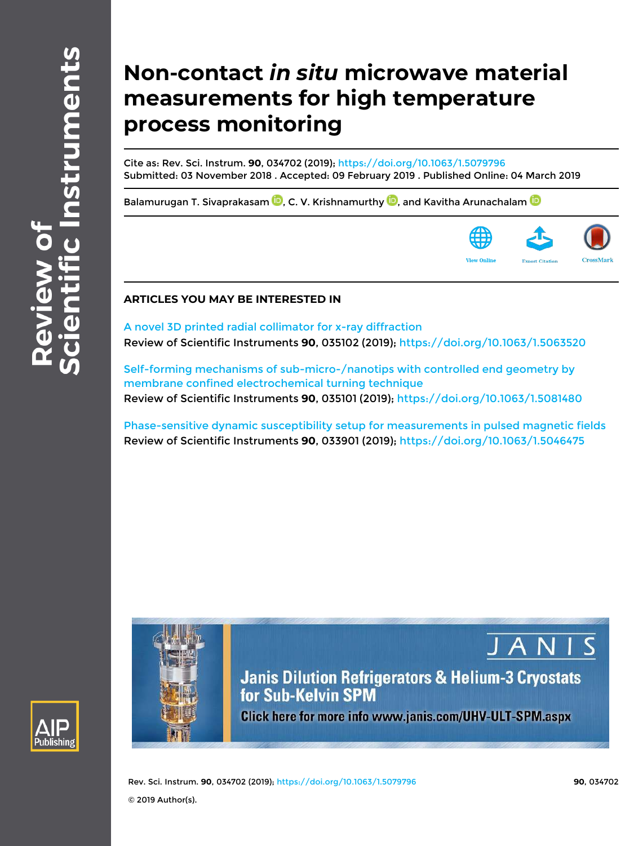# **Non-contact** *in situ* **microwave material measurements for high temperature process monitoring**

Cite as: Rev. Sci. Instrum. **90**, 034702 (2019); https://doi.org/10.1063/1.5079796 Submitted: 03 November 2018 . Accepted: 09 February 2019 . Published Online: 04 March 2019

Balamurugan T. Sivaprakasam  $\mathbf{D}$ , C. V. Krishnamurthy  $\mathbf{D}$ , and Kavitha Arunachalam  $\mathbf{D}$ 



JANI

## **ARTICLES YOU MAY BE INTERESTED IN**

A novel 3D printed radial collimator for x-ray diffraction Review of Scientific Instruments **90**, 035102 (2019); https://doi.org/10.1063/1.5063520

Self-forming mechanisms of sub-micro-/nanotips with controlled end geometry by membrane confined electrochemical turning technique Review of Scientific Instruments **90**, 035101 (2019); https://doi.org/10.1063/1.5081480

Phase-sensitive dynamic susceptibility setup for measurements in pulsed magnetic fields Review of Scientific Instruments **90**, 033901 (2019); https://doi.org/10.1063/1.5046475



**Janis Dilution Refrigerators & Helium-3 Cryostats** for Sub-Kelvin SPM Click here for more info www.janis.com/UHV-ULT-SPM.aspx

Rev. Sci. Instrum. **90**, 034702 (2019); https://doi.org/10.1063/1.5079796 **90**, 034702 © 2019 Author(s).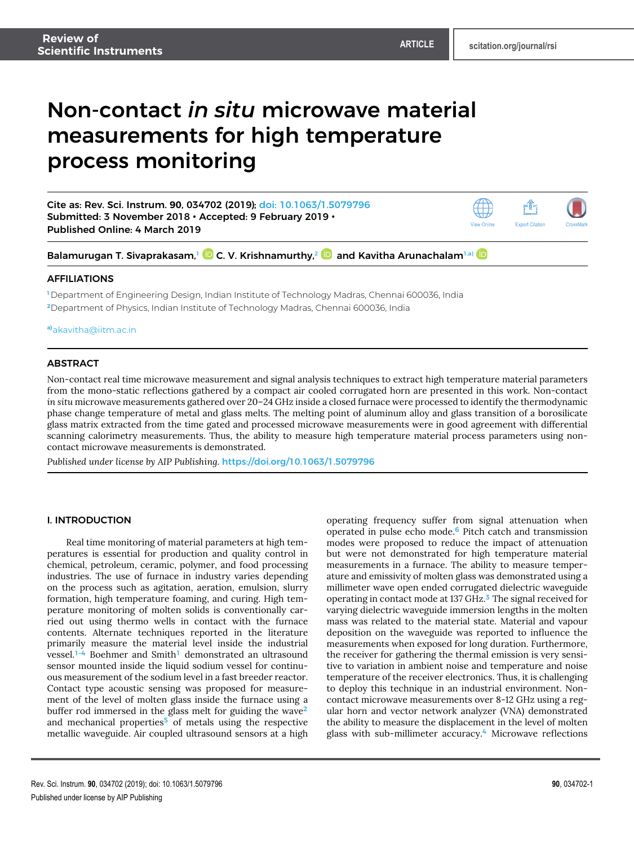## Non-contact *in situ* microwave material measurements for high temperature process monitoring



**a)**akavitha@iitm.ac.in

## ABSTRACT

Non-contact real time microwave measurement and signal analysis techniques to extract high temperature material parameters from the mono-static reflections gathered by a compact air cooled corrugated horn are presented in this work. Non-contact *in situ* microwave measurements gathered over 20–24 GHz inside a closed furnace were processed to identify the thermodynamic phase change temperature of metal and glass melts. The melting point of aluminum alloy and glass transition of a borosilicate glass matrix extracted from the time gated and processed microwave measurements were in good agreement with differential scanning calorimetry measurements. Thus, the ability to measure high temperature material process parameters using noncontact microwave measurements is demonstrated.

*Published under license by AIP Publishing.* https://doi.org/10.1063/1.5079796

## I. INTRODUCTION

Real time monitoring of material parameters at high temperatures is essential for production and quality control in chemical, petroleum, ceramic, polymer, and food processing industries. The use of furnace in industry varies depending on the process such as agitation, aeration, emulsion, slurry formation, high temperature foaming, and curing. High temperature monitoring of molten solids is conventionally carried out using thermo wells in contact with the furnace contents. Alternate techniques reported in the literature primarily measure the material level inside the industrial vessel.1–4 Boehmer and Smith<sup>1</sup> demonstrated an ultrasound sensor mounted inside the liquid sodium vessel for continuous measurement of the sodium level in a fast breeder reactor. Contact type acoustic sensing was proposed for measurement of the level of molten glass inside the furnace using a buffer rod immersed in the glass melt for guiding the wave<sup>2</sup> and mechanical properties<sup>5</sup> of metals using the respective metallic waveguide. Air coupled ultrasound sensors at a high

operating frequency suffer from signal attenuation when operated in pulse echo mode.<sup>6</sup> Pitch catch and transmission modes were proposed to reduce the impact of attenuation but were not demonstrated for high temperature material measurements in a furnace. The ability to measure temperature and emissivity of molten glass was demonstrated using a millimeter wave open ended corrugated dielectric waveguide operating in contact mode at 137 GHz.<sup>3</sup> The signal received for varying dielectric waveguide immersion lengths in the molten mass was related to the material state. Material and vapour deposition on the waveguide was reported to influence the measurements when exposed for long duration. Furthermore, the receiver for gathering the thermal emission is very sensitive to variation in ambient noise and temperature and noise temperature of the receiver electronics. Thus, it is challenging to deploy this technique in an industrial environment. Noncontact microwave measurements over 8-12 GHz using a regular horn and vector network analyzer (VNA) demonstrated the ability to measure the displacement in the level of molten glass with sub-millimeter accuracy.<sup>4</sup> Microwave reflections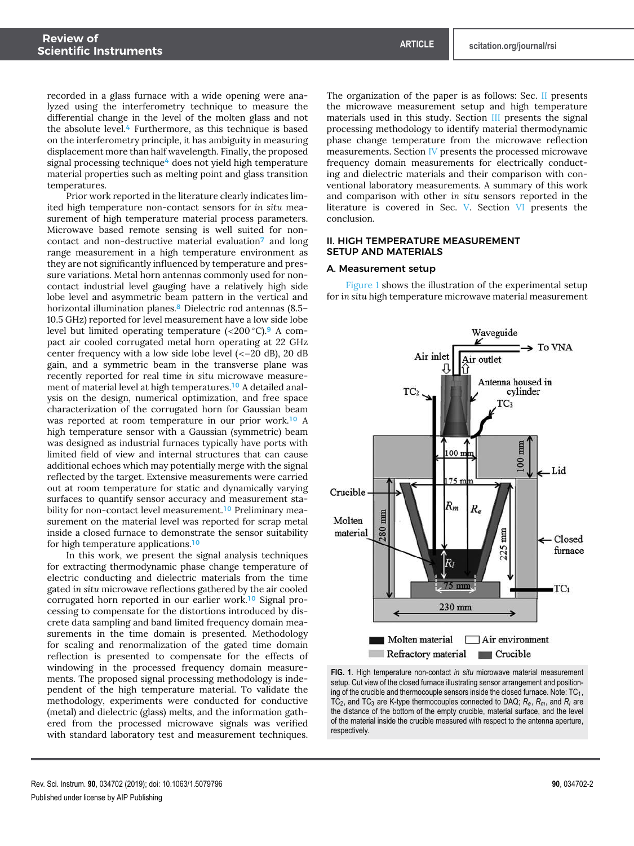recorded in a glass furnace with a wide opening were analyzed using the interferometry technique to measure the differential change in the level of the molten glass and not the absolute level.<sup>4</sup> Furthermore, as this technique is based on the interferometry principle, it has ambiguity in measuring displacement more than half wavelength. Finally, the proposed signal processing technique<sup>4</sup> does not yield high temperature material properties such as melting point and glass transition temperatures.

Prior work reported in the literature clearly indicates limited high temperature non-contact sensors for *in situ* measurement of high temperature material process parameters. Microwave based remote sensing is well suited for noncontact and non-destructive material evaluation<sup>7</sup> and long range measurement in a high temperature environment as they are not significantly influenced by temperature and pressure variations. Metal horn antennas commonly used for noncontact industrial level gauging have a relatively high side lobe level and asymmetric beam pattern in the vertical and horizontal illumination planes.<sup>8</sup> Dielectric rod antennas (8.5-10.5 GHz) reported for level measurement have a low side lobe level but limited operating temperature  $\left( < 200 \degree C \right)$ . A compact air cooled corrugated metal horn operating at 22 GHz center frequency with a low side lobe level (<−20 dB), 20 dB gain, and a symmetric beam in the transverse plane was recently reported for real time *in situ* microwave measurement of material level at high temperatures.<sup>10</sup> A detailed analysis on the design, numerical optimization, and free space characterization of the corrugated horn for Gaussian beam was reported at room temperature in our prior work.<sup>10</sup> A high temperature sensor with a Gaussian (symmetric) beam was designed as industrial furnaces typically have ports with limited field of view and internal structures that can cause additional echoes which may potentially merge with the signal reflected by the target. Extensive measurements were carried out at room temperature for static and dynamically varying surfaces to quantify sensor accuracy and measurement stability for non-contact level measurement.<sup>10</sup> Preliminary measurement on the material level was reported for scrap metal inside a closed furnace to demonstrate the sensor suitability for high temperature applications.<sup>10</sup>

In this work, we present the signal analysis techniques for extracting thermodynamic phase change temperature of electric conducting and dielectric materials from the time gated *in situ* microwave reflections gathered by the air cooled corrugated horn reported in our earlier work.<sup>10</sup> Signal processing to compensate for the distortions introduced by discrete data sampling and band limited frequency domain measurements in the time domain is presented. Methodology for scaling and renormalization of the gated time domain reflection is presented to compensate for the effects of windowing in the processed frequency domain measurements. The proposed signal processing methodology is independent of the high temperature material. To validate the methodology, experiments were conducted for conductive (metal) and dielectric (glass) melts, and the information gathered from the processed microwave signals was verified with standard laboratory test and measurement techniques.

The organization of the paper is as follows: Sec. II presents the microwave measurement setup and high temperature materials used in this study. Section III presents the signal processing methodology to identify material thermodynamic phase change temperature from the microwave reflection measurements. Section IV presents the processed microwave frequency domain measurements for electrically conducting and dielectric materials and their comparison with conventional laboratory measurements. A summary of this work and comparison with other *in situ* sensors reported in the literature is covered in Sec. V. Section VI presents the conclusion.

## II. HIGH TEMPERATURE MEASUREMENT SETUP AND MATERIALS

#### A. Measurement setup

Figure 1 shows the illustration of the experimental setup for *in situ* high temperature microwave material measurement



**FIG. 1**. High temperature non-contact *in situ* microwave material measurement setup. Cut view of the closed furnace illustrating sensor arrangement and positioning of the crucible and thermocouple sensors inside the closed furnace. Note:  $\mathtt{TC_{1}},$ TC<sup>2</sup> , and TC<sup>3</sup> are K-type thermocouples connected to DAQ; *Re*, *Rm*, and *R<sup>l</sup>* are the distance of the bottom of the empty crucible, material surface, and the level of the material inside the crucible measured with respect to the antenna aperture, respectively.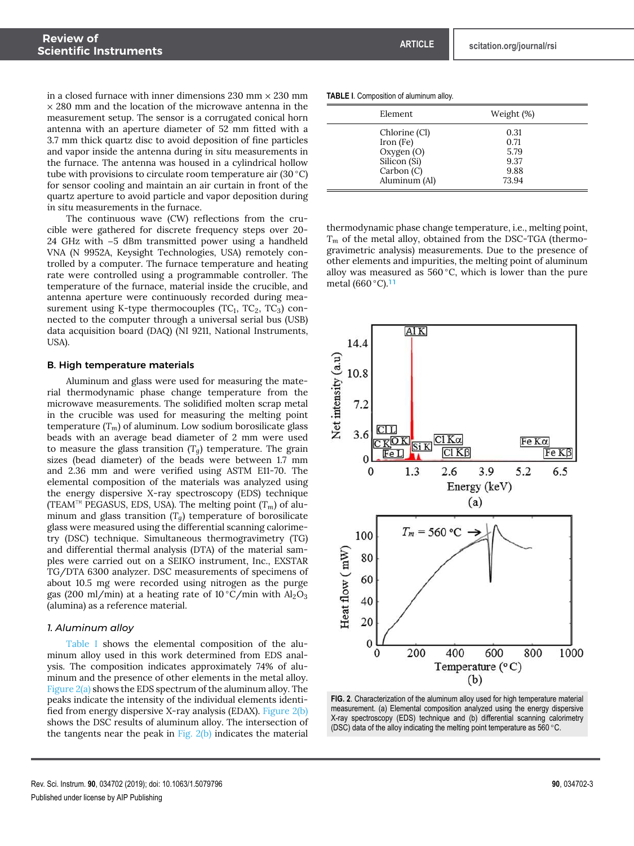in a closed furnace with inner dimensions  $230 \text{ mm} \times 230 \text{ mm}$  $\times$  280 mm and the location of the microwave antenna in the measurement setup. The sensor is a corrugated conical horn antenna with an aperture diameter of 52 mm fitted with a 3.7 mm thick quartz disc to avoid deposition of fine particles and vapor inside the antenna during *in situ* measurements in the furnace. The antenna was housed in a cylindrical hollow tube with provisions to circulate room temperature air  $(30 °C)$ for sensor cooling and maintain an air curtain in front of the quartz aperture to avoid particle and vapor deposition during *in situ* measurements in the furnace.

The continuous wave (CW) reflections from the crucible were gathered for discrete frequency steps over 20- 24 GHz with −5 dBm transmitted power using a handheld VNA (N 9952A, Keysight Technologies, USA) remotely controlled by a computer. The furnace temperature and heating rate were controlled using a programmable controller. The temperature of the furnace, material inside the crucible, and antenna aperture were continuously recorded during measurement using K-type thermocouples (TC $_1$ , TC $_2$ , TC $_3$ ) connected to the computer through a universal serial bus (USB) data acquisition board (DAQ) (NI 9211, National Instruments, USA).

#### B. High temperature materials

Aluminum and glass were used for measuring the material thermodynamic phase change temperature from the microwave measurements. The solidified molten scrap metal in the crucible was used for measuring the melting point temperature  $(T_m)$  of aluminum. Low sodium borosilicate glass beads with an average bead diameter of 2 mm were used to measure the glass transition  $(T_q)$  temperature. The grain sizes (bead diameter) of the beads were between 1.7 mm and 2.36 mm and were verified using ASTM E11-70. The elemental composition of the materials was analyzed using the energy dispersive X-ray spectroscopy (EDS) technique (TEAM™ PEGASUS, EDS, USA). The melting point (*Tm*) of aluminum and glass transition (*Tg*) temperature of borosilicate glass were measured using the differential scanning calorimetry (DSC) technique. Simultaneous thermogravimetry (TG) and differential thermal analysis (DTA) of the material samples were carried out on a SEIKO instrument, Inc., EXSTAR TG/DTA 6300 analyzer. DSC measurements of specimens of about 10.5 mg were recorded using nitrogen as the purge gas (200 ml/min) at a heating rate of  $10\degree C/\text{min}$  with  $Al_2O_3$ (alumina) as a reference material.

#### *1. Aluminum alloy*

Table I shows the elemental composition of the aluminum alloy used in this work determined from EDS analysis. The composition indicates approximately 74% of aluminum and the presence of other elements in the metal alloy. Figure 2(a) shows the EDS spectrum of the aluminum alloy. The peaks indicate the intensity of the individual elements identified from energy dispersive X-ray analysis (EDAX). Figure 2(b) shows the DSC results of aluminum alloy. The intersection of the tangents near the peak in Fig.  $2(b)$  indicates the material

#### **TABLE I**. Composition of aluminum alloy.

| Element       | Weight (%) |  |
|---------------|------------|--|
| Chlorine (Cl) | 0.31       |  |
| Iron (Fe)     | 0.71       |  |
| Oxygen (O)    | 5.79       |  |
| Silicon (Si)  | 9.37       |  |
| Carbon(C)     | 9.88       |  |
| Aluminum (Al) | 73.94      |  |

thermodynamic phase change temperature, i.e., melting point, *T<sup>m</sup>* of the metal alloy, obtained from the DSC-TGA (thermogravimetric analysis) measurements. Due to the presence of other elements and impurities, the melting point of aluminum alloy was measured as  $560\,^{\circ}\text{C}$ , which is lower than the pure metal (660 ◦C).<sup>11</sup>



**FIG. 2**. Characterization of the aluminum alloy used for high temperature material measurement. (a) Elemental composition analyzed using the energy dispersive X-ray spectroscopy (EDS) technique and (b) differential scanning calorimetry (DSC) data of the alloy indicating the melting point temperature as 560 ◦C.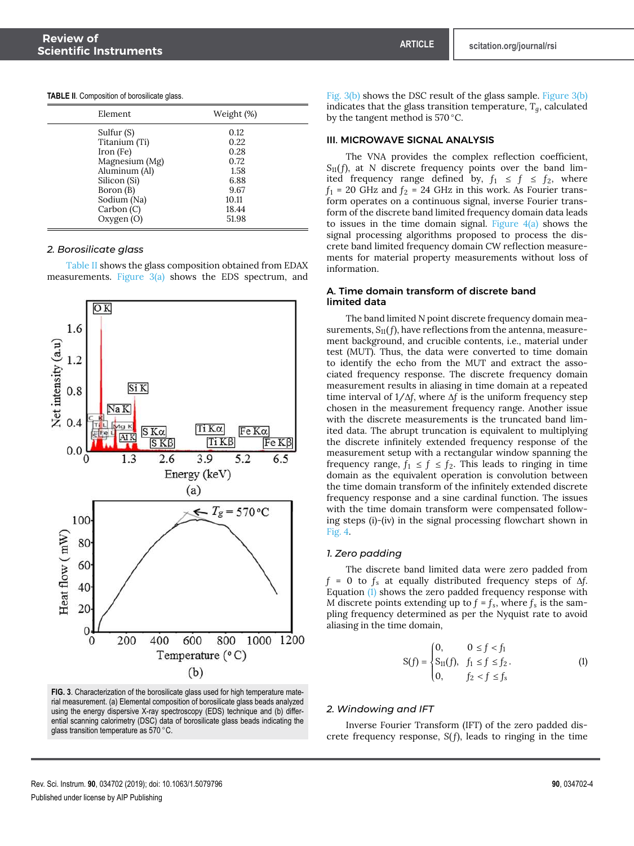| <b>TABLE II.</b> Composition of borosilicate glass. |  |  |
|-----------------------------------------------------|--|--|
|-----------------------------------------------------|--|--|

| Element.                                                                                                                              | Weight (%)                                                             |
|---------------------------------------------------------------------------------------------------------------------------------------|------------------------------------------------------------------------|
| Sulfur (S)<br>Titanium (Ti)<br>Iron (Fe)<br>Magnesium (Mg)<br>Aluminum (Al)<br>Silicon (Si)<br>Boron (B)<br>Sodium (Na)<br>Carbon (C) | 0.12<br>0.22<br>0.28<br>0.72<br>1.58<br>6.88<br>9.67<br>10.11<br>18.44 |
| Oxygen (O)                                                                                                                            | 51.98                                                                  |

## *2. Borosilicate glass*

Table II shows the glass composition obtained from EDAX measurements. Figure  $3(a)$  shows the EDS spectrum, and



**FIG. 3**. Characterization of the borosilicate glass used for high temperature material measurement. (a) Elemental composition of borosilicate glass beads analyzed using the energy dispersive X-ray spectroscopy (EDS) technique and (b) differential scanning calorimetry (DSC) data of borosilicate glass beads indicating the glass transition temperature as 570 ◦C.

Fig. 3(b) shows the DSC result of the glass sample. Figure 3(b) indicates that the glass transition temperature,  $T<sub>g</sub>$ , calculated by the tangent method is 570 ◦C.

#### III. MICROWAVE SIGNAL ANALYSIS

The VNA provides the complex reflection coefficient, *S*11( *f*), at *N* discrete frequency points over the band limited frequency range defined by,  $f_1 \leq f \leq f_2$ , where  $f_1$  = 20 GHz and  $f_2$  = 24 GHz in this work. As Fourier transform operates on a continuous signal, inverse Fourier transform of the discrete band limited frequency domain data leads to issues in the time domain signal. Figure  $4(a)$  shows the signal processing algorithms proposed to process the discrete band limited frequency domain CW reflection measurements for material property measurements without loss of information.

## A. Time domain transform of discrete band limited data

The band limited *N* point discrete frequency domain measurements,  $S_{11}(f)$ , have reflections from the antenna, measurement background, and crucible contents, i.e., material under test (MUT). Thus, the data were converted to time domain to identify the echo from the MUT and extract the associated frequency response. The discrete frequency domain measurement results in aliasing in time domain at a repeated time interval of 1/∆*f*, where ∆*f* is the uniform frequency step chosen in the measurement frequency range. Another issue with the discrete measurements is the truncated band limited data. The abrupt truncation is equivalent to multiplying the discrete infinitely extended frequency response of the measurement setup with a rectangular window spanning the frequency range,  $f_1 \le f \le f_2$ . This leads to ringing in time domain as the equivalent operation is convolution between the time domain transform of the infinitely extended discrete frequency response and a sine cardinal function. The issues with the time domain transform were compensated following steps (i)-(iv) in the signal processing flowchart shown in Fig. 4.

#### *1. Zero padding*

The discrete band limited data were zero padded from *f* = 0 to *f<sup>s</sup>* at equally distributed frequency steps of ∆*f*. Equation (1) shows the zero padded frequency response with *M* discrete points extending up to  $f = f_s$ , where  $f_s$  is the sampling frequency determined as per the Nyquist rate to avoid aliasing in the time domain,

$$
S(f) = \begin{cases} 0, & 0 \le f < f_1 \\ S_{11}(f), & f_1 \le f \le f_2 \\ 0, & f_2 < f \le f_s \end{cases}
$$
 (1)

#### *2. Windowing and IFT*

Inverse Fourier Transform (IFT) of the zero padded discrete frequency response, *S*( *f*), leads to ringing in the time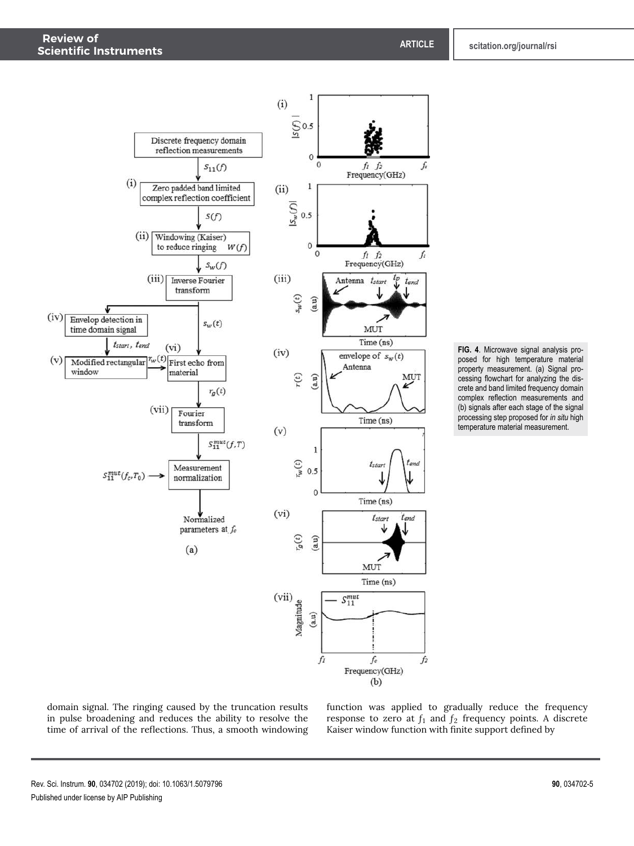



domain signal. The ringing caused by the truncation results in pulse broadening and reduces the ability to resolve the time of arrival of the reflections. Thus, a smooth windowing

function was applied to gradually reduce the frequency response to zero at  $f_1$  and  $f_2$  frequency points. A discrete Kaiser window function with finite support defined by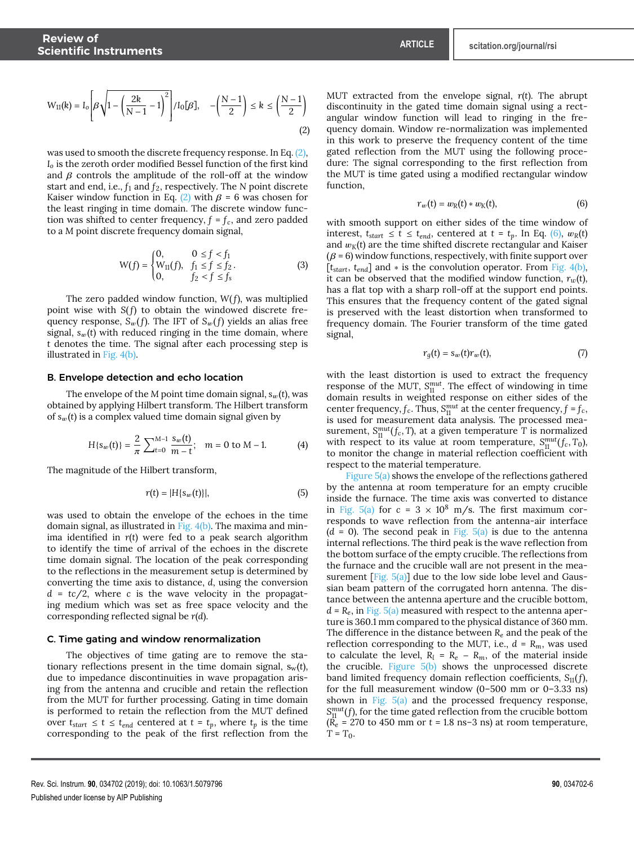$$
W_{11}(k) = I_o \left[ \beta \sqrt{1 - \left(\frac{2k}{N-1} - 1\right)^2} \right] / I_o[\beta], \quad -\left(\frac{N-1}{2}\right) \le k \le \left(\frac{N-1}{2}\right)
$$
\n(2)

was used to smooth the discrete frequency response. In Eq. (2), *I<sup>o</sup>* is the zeroth order modified Bessel function of the first kind and  $\beta$  controls the amplitude of the roll-off at the window start and end, i.e., *f*<sup>1</sup> and *f*2, respectively. The *N* point discrete Kaiser window function in Eq. (2) with  $\beta = 6$  was chosen for the least ringing in time domain. The discrete window function was shifted to center frequency,  $f = f_c$ , and zero padded to a *M* point discrete frequency domain signal,

$$
W(f) = \begin{cases} 0, & 0 \le f < f_1 \\ W_{11}(f), & f_1 \le f \le f_2 \\ 0, & f_2 < f \le f_s \end{cases}
$$
 (3)

The zero padded window function, *W*( *f*), was multiplied point wise with *S*(*f*) to obtain the windowed discrete frequency response,  $S_w(f)$ . The IFT of  $S_w(f)$  yields an alias free signal,  $s_w(t)$  with reduced ringing in the time domain, where *t* denotes the time. The signal after each processing step is illustrated in Fig. 4(b).

#### B. Envelope detection and echo location

The envelope of the *M* point time domain signal,  $s_w(t)$ , was obtained by applying Hilbert transform. The Hilbert transform of  $s_w(t)$  is a complex valued time domain signal given by

$$
H\{s_w(t)\} = \frac{2}{\pi} \sum_{t=0}^{M-1} \frac{s_w(t)}{m-t}; \quad m = 0 \text{ to } M-1. \tag{4}
$$

The magnitude of the Hilbert transform,

$$
r(t) = |H\{s_w(t)\}|,\tag{5}
$$

was used to obtain the envelope of the echoes in the time domain signal, as illustrated in Fig. 4(b). The maxima and minima identified in *r*(*t*) were fed to a peak search algorithm to identify the time of arrival of the echoes in the discrete time domain signal. The location of the peak corresponding to the reflections in the measurement setup is determined by converting the time axis to distance, *d*, using the conversion *d* = *tc*/2, where *c* is the wave velocity in the propagating medium which was set as free space velocity and the corresponding reflected signal be *r*(*d*).

#### C. Time gating and window renormalization

The objectives of time gating are to remove the stationary reflections present in the time domain signal,  $s_w(t)$ , due to impedance discontinuities in wave propagation arising from the antenna and crucible and retain the reflection from the MUT for further processing. Gating in time domain is performed to retain the reflection from the MUT defined over  $t_{start} \leq t \leq t_{end}$  centered at  $t = t_p$ , where  $t_p$  is the time corresponding to the peak of the first reflection from the

MUT extracted from the envelope signal, *r*(*t*). The abrupt discontinuity in the gated time domain signal using a rectangular window function will lead to ringing in the frequency domain. Window re-normalization was implemented in this work to preserve the frequency content of the time gated reflection from the MUT using the following procedure: The signal corresponding to the first reflection from the MUT is time gated using a modified rectangular window function,

$$
r_w(t) = w_R(t) * w_K(t), \qquad (6)
$$

with smooth support on either sides of the time window of interest,  $t_{start} \leq t \leq t_{end}$ , centered at  $t = t_p$ . In Eq. (6),  $w_R(t)$ and  $w_K(t)$  are the time shifted discrete rectangular and Kaiser  $(\beta = 6)$  window functions, respectively, with finite support over [*tstart*, *tend*] and ∗ is the convolution operator. From Fig. 4(b), it can be observed that the modified window function,  $r_w(t)$ , has a flat top with a sharp roll-off at the support end points. This ensures that the frequency content of the gated signal is preserved with the least distortion when transformed to frequency domain. The Fourier transform of the time gated signal,

$$
r_g(t) = s_w(t)r_w(t),
$$
\n(7)

with the least distortion is used to extract the frequency response of the MUT,  $S_{11}^{mut}$ . The effect of windowing in time domain results in weighted response on either sides of the center frequency,  $f_c$ . Thus,  $S_{11}^{mut}$  at the center frequency,  $f = f_c$ , is used for measurement data analysis. The processed measurement,  $S_{11}^{mut}(f_c, T)$ , at a given temperature *T* is normalized with respect to its value at room temperature,  $S_{01}^{mut}(f_c, T_0)$ , to monitor the change in material reflection coefficient with respect to the material temperature.

Figure  $5(a)$  shows the envelope of the reflections gathered by the antenna at room temperature for an empty crucible inside the furnace. The time axis was converted to distance in Fig.  $5(a)$  for  $c = 3 \times 10^8$  m/s. The first maximum corresponds to wave reflection from the antenna-air interface  $(d = 0)$ . The second peak in Fig.  $5(a)$  is due to the antenna internal reflections. The third peak is the wave reflection from the bottom surface of the empty crucible. The reflections from the furnace and the crucible wall are not present in the measurement  $[Fig. 5(a)]$  due to the low side lobe level and Gaussian beam pattern of the corrugated horn antenna. The distance between the antenna aperture and the crucible bottom,  $d = R_e$ , in Fig. 5(a) measured with respect to the antenna aperture is 360.1 mm compared to the physical distance of 360 mm. The difference in the distance between *R<sup>e</sup>* and the peak of the reflection corresponding to the MUT, i.e.,  $d = R_m$ , was used to calculate the level,  $R_l = R_e - R_m$ , of the material inside the crucible. Figure  $5(b)$  shows the unprocessed discrete band limited frequency domain reflection coefficients, *S*11(*f*), for the full measurement window (0–500 mm or 0–3.33 ns) shown in Fig.  $5(a)$  and the processed frequency response,  $S_{11}^{mut}(f)$ , for the time gated reflection from the crucible bottom  $(\vec{R}_e = 270 \text{ to } 450 \text{ mm or } t = 1.8 \text{ ns} - 3 \text{ ns})$  at room temperature,  $T = T_0$ .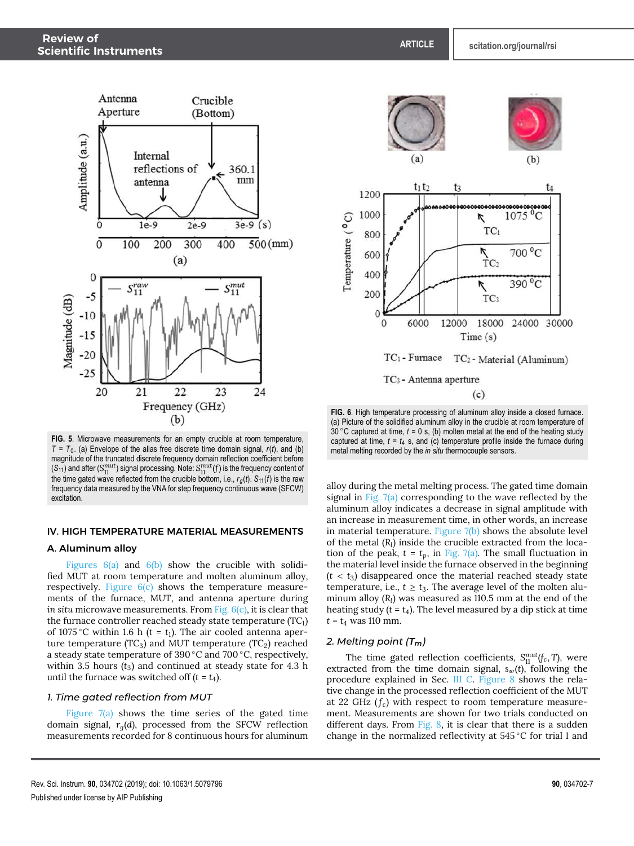

**FIG. 5**. Microwave measurements for an empty crucible at room temperature, *T* = *T*<sup>0</sup> . (a) Envelope of the alias free discrete time domain signal, *r*(*t*), and (b) magnitude of the truncated discrete frequency domain reflection coefficient before  $(\mathcal{S}_{11})$  and after  $(\mathcal{S}_{11}^{mut})$  signal processing. Note:  $\mathcal{S}_{11}^{mut}(f)$  is the frequency content of the time gated wave reflected from the crucible bottom, i.e.,  $r_g(t)$ .  $S_{11}(f)$  is the raw frequency data measured by the VNA for step frequency continuous wave (SFCW) excitation.

## IV. HIGH TEMPERATURE MATERIAL MEASUREMENTS

#### A. Aluminum alloy

Figures  $6(a)$  and  $6(b)$  show the crucible with solidified MUT at room temperature and molten aluminum alloy, respectively. Figure 6(c) shows the temperature measurements of the furnace, MUT, and antenna aperture during *in situ* microwave measurements. From Fig. 6(c), it is clear that the furnace controller reached steady state temperature (TC<sub>1</sub>) of 1075 °C within 1.6 h ( $t = t_1$ ). The air cooled antenna aperture temperature ( $TC_3$ ) and MUT temperature ( $TC_2$ ) reached a steady state temperature of 390 ◦C and 700 ◦C, respectively, within 3.5 hours  $(t_3)$  and continued at steady state for 4.3 h until the furnace was switched off  $(t = t_4)$ .

## *1. Time gated reflection from MUT*

Figure  $7(a)$  shows the time series of the gated time domain signal, *rg*(*d*), processed from the SFCW reflection measurements recorded for 8 continuous hours for aluminum



**FIG. 6**. High temperature processing of aluminum alloy inside a closed furnace. (a) Picture of the solidified aluminum alloy in the crucible at room temperature of  $30^{\circ}$ C captured at time,  $t = 0$  s, (b) molten metal at the end of the heating study captured at time,  $t = t_4$  s, and (c) temperature profile inside the furnace during metal melting recorded by the *in situ* thermocouple sensors.

alloy during the metal melting process. The gated time domain signal in Fig. 7(a) corresponding to the wave reflected by the aluminum alloy indicates a decrease in signal amplitude with an increase in measurement time, in other words, an increase in material temperature. Figure 7(b) shows the absolute level of the metal (*R<sup>l</sup>* ) inside the crucible extracted from the location of the peak,  $t = t_p$ , in Fig. 7(a). The small fluctuation in the material level inside the furnace observed in the beginning  $(t < t_3)$  disappeared once the material reached steady state temperature, i.e.,  $t \ge t_3$ . The average level of the molten aluminum alloy (*R<sup>l</sup>* ) was measured as 110.5 mm at the end of the heating study  $(t = t_4)$ . The level measured by a dip stick at time *t* = *t*<sup>4</sup> was 110 mm.

#### *2. Melting point (Tm)*

The time gated reflection coefficients,  $S_{11}^{mut}(f_c, T)$ , were extracted from the time domain signal,  $s_w(t)$ , following the procedure explained in Sec. III C. Figure 8 shows the relative change in the processed reflection coefficient of the MUT at 22 GHz  $(f_c)$  with respect to room temperature measurement. Measurements are shown for two trials conducted on different days. From Fig. 8, it is clear that there is a sudden change in the normalized reflectivity at 545 ◦C for trial I and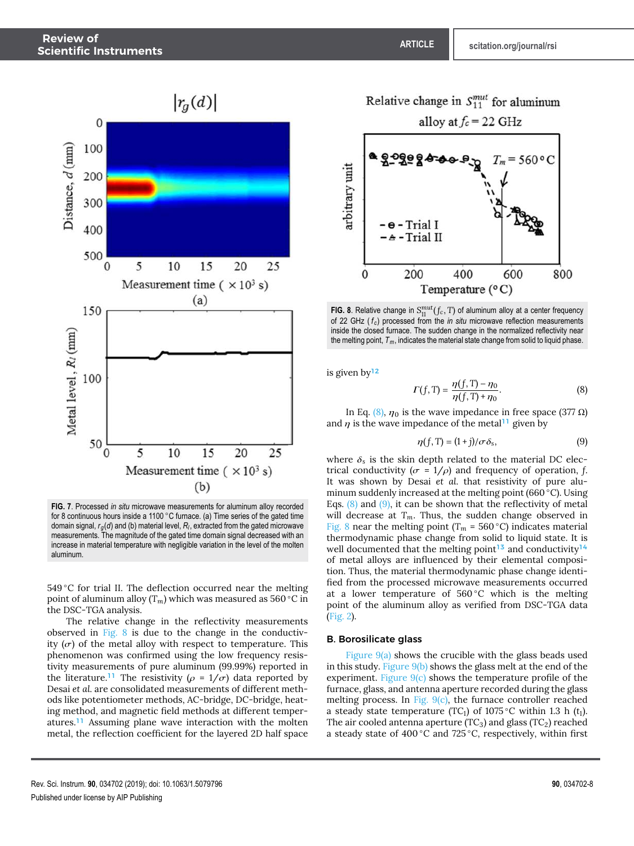

**FIG. 7**. Processed *in situ* microwave measurements for aluminum alloy recorded for 8 continuous hours inside a 1100 °C furnace. (a) Time series of the gated time domain signal, *rg*(*d*) and (b) material level, *R<sup>l</sup>* , extracted from the gated microwave measurements. The magnitude of the gated time domain signal decreased with an increase in material temperature with negligible variation in the level of the molten aluminum.

 $549\textdegree C$  for trial II. The deflection occurred near the melting point of aluminum alloy (*Tm*) which was measured as 560 ◦C in the DSC-TGA analysis.

The relative change in the reflectivity measurements observed in Fig. 8 is due to the change in the conductivity  $(\sigma)$  of the metal alloy with respect to temperature. This phenomenon was confirmed using the low frequency resistivity measurements of pure aluminum (99.99%) reported in the literature.<sup>11</sup> The resistivity ( $\rho = 1/\sigma$ ) data reported by Desai *et al.* are consolidated measurements of different methods like potentiometer methods, AC-bridge, DC-bridge, heating method, and magnetic field methods at different temperatures.<sup>11</sup> Assuming plane wave interaction with the molten metal, the reflection coefficient for the layered 2D half space



**FIG. 8**. Relative change in  $S_{11}^{mut}(f_c, T)$  of aluminum alloy at a center frequency of 22 GHz ( *f <sup>c</sup>* ) processed from the *in situ* microwave reflection measurements inside the closed furnace. The sudden change in the normalized reflectivity near the melting point,  $T_m$ , indicates the material state change from solid to liquid phase.

is given by<sup>12</sup>

$$
\Gamma(f, T) = \frac{\eta(f, T) - \eta_0}{\eta(f, T) + \eta_0}.
$$
 (8)

In Eq. (8),  $η_0$  is the wave impedance in free space (377 Ω) and  $\eta$  is the wave impedance of the metal<sup>11</sup> given by

$$
\eta(f, T) = (1 + j) / \sigma \delta_s,\tag{9}
$$

where  $\delta_s$  is the skin depth related to the material DC electrical conductivity ( $\sigma = 1/\rho$ ) and frequency of operation, f. It was shown by Desai *et al.* that resistivity of pure aluminum suddenly increased at the melting point (660 ◦C). Using Eqs.  $(8)$  and  $(9)$ , it can be shown that the reflectivity of metal will decrease at  $T_m$ . Thus, the sudden change observed in Fig. 8 near the melting point ( $T_m$  = 560 °C) indicates material thermodynamic phase change from solid to liquid state. It is well documented that the melting point<sup>13</sup> and conductivity<sup>14</sup> of metal alloys are influenced by their elemental composition. Thus, the material thermodynamic phase change identified from the processed microwave measurements occurred at a lower temperature of  $560^{\circ}$ C which is the melting point of the aluminum alloy as verified from DSC-TGA data (Fig. 2).

#### B. Borosilicate glass

Figure  $9(a)$  shows the crucible with the glass beads used in this study. Figure 9(b) shows the glass melt at the end of the experiment. Figure 9(c) shows the temperature profile of the furnace, glass, and antenna aperture recorded during the glass melting process. In Fig.  $9(c)$ , the furnace controller reached a steady state temperature (TC<sub>1</sub>) of 1075 °C within 1.3 h ( $t_1$ ). The air cooled antenna aperture (TC<sub>3</sub>) and glass (TC<sub>2</sub>) reached a steady state of 400 ◦C and 725 ◦C, respectively, within first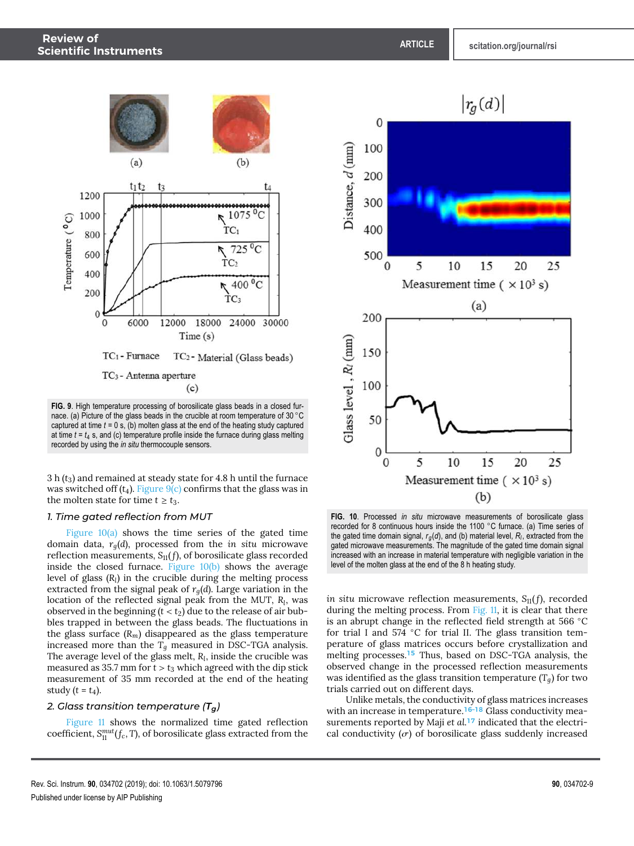

**FIG. 9**. High temperature processing of borosilicate glass beads in a closed furnace. (a) Picture of the glass beads in the crucible at room temperature of 30 ◦C captured at time *t* = 0 s, (b) molten glass at the end of the heating study captured at time  $t = t_4$  s, and (c) temperature profile inside the furnace during glass melting recorded by using the *in situ* thermocouple sensors.

3 h (*t*3) and remained at steady state for 4.8 h until the furnace was switched off  $(t_4)$ . Figure  $9(c)$  confirms that the glass was in the molten state for time  $t \geq t_3$ .

#### *1. Time gated reflection from MUT*

Figure  $10(a)$  shows the time series of the gated time domain data, *rg*(*d*), processed from the *in situ* microwave reflection measurements, *S*11( *f*), of borosilicate glass recorded inside the closed furnace. Figure  $10(b)$  shows the average level of glass (*R<sup>l</sup>* ) in the crucible during the melting process extracted from the signal peak of  $r<sub>q</sub>(d)$ . Large variation in the location of the reflected signal peak from the MUT, *R<sup>l</sup>* , was observed in the beginning  $(t < t_2)$  due to the release of air bubbles trapped in between the glass beads. The fluctuations in the glass surface  $(R_m)$  disappeared as the glass temperature increased more than the  $T_q$  measured in DSC-TGA analysis. The average level of the glass melt, *R<sup>l</sup>* , inside the crucible was measured as 35.7 mm for  $t > t_3$  which agreed with the dip stick measurement of 35 mm recorded at the end of the heating study  $(t = t_4)$ .

## *2. Glass transition temperature (Tg)*

Figure 11 shows the normalized time gated reflection coefficient,  $S_{11}^{mut}(f_c,T)$ , of borosilicate glass extracted from the



**FIG. 10**. Processed *in situ* microwave measurements of borosilicate glass recorded for 8 continuous hours inside the 1100 ◦C furnace. (a) Time series of the gated time domain signal, *rg*(*d*), and (b) material level, *R<sup>l</sup>* , extracted from the gated microwave measurements. The magnitude of the gated time domain signal increased with an increase in material temperature with negligible variation in the level of the molten glass at the end of the 8 h heating study.

*in situ* microwave reflection measurements, *S*11( *f*), recorded during the melting process. From Fig. 11, it is clear that there is an abrupt change in the reflected field strength at 566 ◦C for trial I and 574 ◦C for trial II. The glass transition temperature of glass matrices occurs before crystallization and melting processes.<sup>15</sup> Thus, based on DSC-TGA analysis, the observed change in the processed reflection measurements was identified as the glass transition temperature (*Tg*) for two trials carried out on different days.

Unlike metals, the conductivity of glass matrices increases with an increase in temperature.<sup>16-18</sup> Glass conductivity measurements reported by Maji *et al.*<sup>17</sup> indicated that the electrical conductivity  $(\sigma)$  of borosilicate glass suddenly increased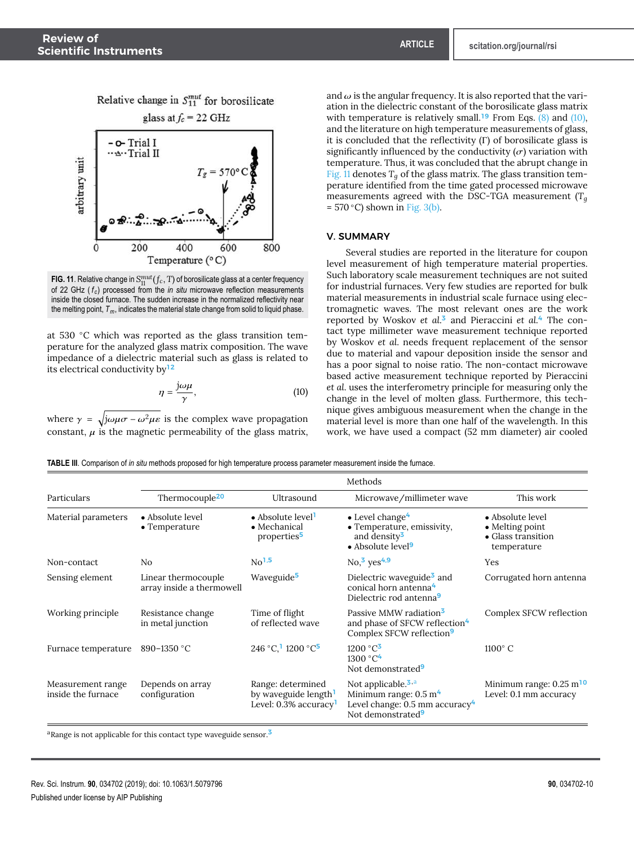



**FIG. 11**. Relative change in  $S_{11}^{mut}(f_c,T)$  of borosilicate glass at a center frequency of 22 GHz ( *f <sup>c</sup>* ) processed from the *in situ* microwave reflection measurements inside the closed furnace. The sudden increase in the normalized reflectivity near the melting point, *Tm*, indicates the material state change from solid to liquid phase.

at 530 ◦C which was reported as the glass transition temperature for the analyzed glass matrix composition. The wave impedance of a dielectric material such as glass is related to its electrical conductivity by<sup>12</sup>

$$
\eta = \frac{j\omega\mu}{\gamma},\tag{10}
$$

where  $\gamma = \sqrt{j\omega\mu\sigma - \omega^2\mu\epsilon}$  is the complex wave propagation constant,  $\mu$  is the magnetic permeability of the glass matrix, and  $\omega$  is the angular frequency. It is also reported that the variation in the dielectric constant of the borosilicate glass matrix with temperature is relatively small.<sup>19</sup> From Eqs.  $(8)$  and  $(10)$ , and the literature on high temperature measurements of glass, it is concluded that the reflectivity (Γ) of borosilicate glass is significantly influenced by the conductivity  $(\sigma)$  variation with temperature. Thus, it was concluded that the abrupt change in Fig. 11 denotes  $T_q$  of the glass matrix. The glass transition temperature identified from the time gated processed microwave measurements agreed with the DSC-TGA measurement (*T<sup>g</sup>*  $= 570 \degree C$ ) shown in Fig. 3(b).

## V. SUMMARY

Several studies are reported in the literature for coupon level measurement of high temperature material properties. Such laboratory scale measurement techniques are not suited for industrial furnaces. Very few studies are reported for bulk material measurements in industrial scale furnace using electromagnetic waves. The most relevant ones are the work reported by Woskov *et al.*<sup>3</sup> and Pieraccini *et al.*<sup>4</sup> The contact type millimeter wave measurement technique reported by Woskov *et al.* needs frequent replacement of the sensor due to material and vapour deposition inside the sensor and has a poor signal to noise ratio. The non-contact microwave based active measurement technique reported by Pieraccini *et al.* uses the interferometry principle for measuring only the change in the level of molten glass. Furthermore, this technique gives ambiguous measurement when the change in the material level is more than one half of the wavelength. In this work, we have used a compact (52 mm diameter) air cooled

|  |  | <b>TABLE III</b> . Comparison of <i>in situ</i> methods proposed for high temperature process parameter measurement inside the furnace. |
|--|--|-----------------------------------------------------------------------------------------------------------------------------------------|
|  |  |                                                                                                                                         |

|                                         | Methods                                          |                                                                                               |                                                                                                                                                     |                                                                          |  |
|-----------------------------------------|--------------------------------------------------|-----------------------------------------------------------------------------------------------|-----------------------------------------------------------------------------------------------------------------------------------------------------|--------------------------------------------------------------------------|--|
| Particulars                             | Thermocouple <sup>20</sup>                       | Ultrasound                                                                                    | Microwave/millimeter wave                                                                                                                           | This work                                                                |  |
| Material parameters                     | • Absolute level<br>$\bullet$ Temperature        | $\bullet$ Absolute level <sup>1</sup><br>• Mechanical<br>properties <sup>5</sup>              | $\bullet$ Level change <sup>4</sup><br>• Temperature, emissivity,<br>and density <sup>3</sup><br>• Absolute level <sup>9</sup>                      | • Absolute level<br>• Melting point<br>• Glass transition<br>temperature |  |
| Non-contact                             | N <sub>o</sub>                                   | $\text{No}^{1,5}$                                                                             | $\text{No}, \frac{3}{9}$ yes <sup>4,9</sup>                                                                                                         | Yes                                                                      |  |
| Sensing element                         | Linear thermocouple<br>array inside a thermowell | Waveguide <sup>5</sup>                                                                        | Dielectric waveguide <sup>3</sup> and<br>conical horn antenna <sup>4</sup><br>Dielectric rod antenna <sup>9</sup>                                   | Corrugated horn antenna                                                  |  |
| Working principle                       | Resistance change<br>in metal junction           | Time of flight<br>of reflected wave                                                           | Passive MMW radiation <sup>3</sup><br>and phase of SFCW reflection <sup>4</sup><br>Complex SFCW reflection <sup>9</sup>                             | Complex SFCW reflection                                                  |  |
| Furnace temperature                     | 890-1350 °C                                      | 246 °C, 1200 °C <sup>5</sup>                                                                  | $1200 °C^3$<br>1300 °C <sup>4</sup><br>Not demonstrated <sup>9</sup>                                                                                | $1100^\circ$ C                                                           |  |
| Measurement range<br>inside the furnace | Depends on array<br>configuration                | Range: determined<br>by waveguide length <sup>1</sup><br>Level: $0.3\%$ accuracy <sup>1</sup> | Not applicable. <sup>3,a</sup><br>Minimum range: $0.5 \text{ m}^4$<br>Level change: $0.5$ mm accuracy <sup>4</sup><br>Not demonstrated <sup>9</sup> | Minimum range: $0.25 \text{ m}^{10}$<br>Level: 0.1 mm accuracy           |  |

<sup>a</sup>Range is not applicable for this contact type waveguide sensor.<sup>3</sup>